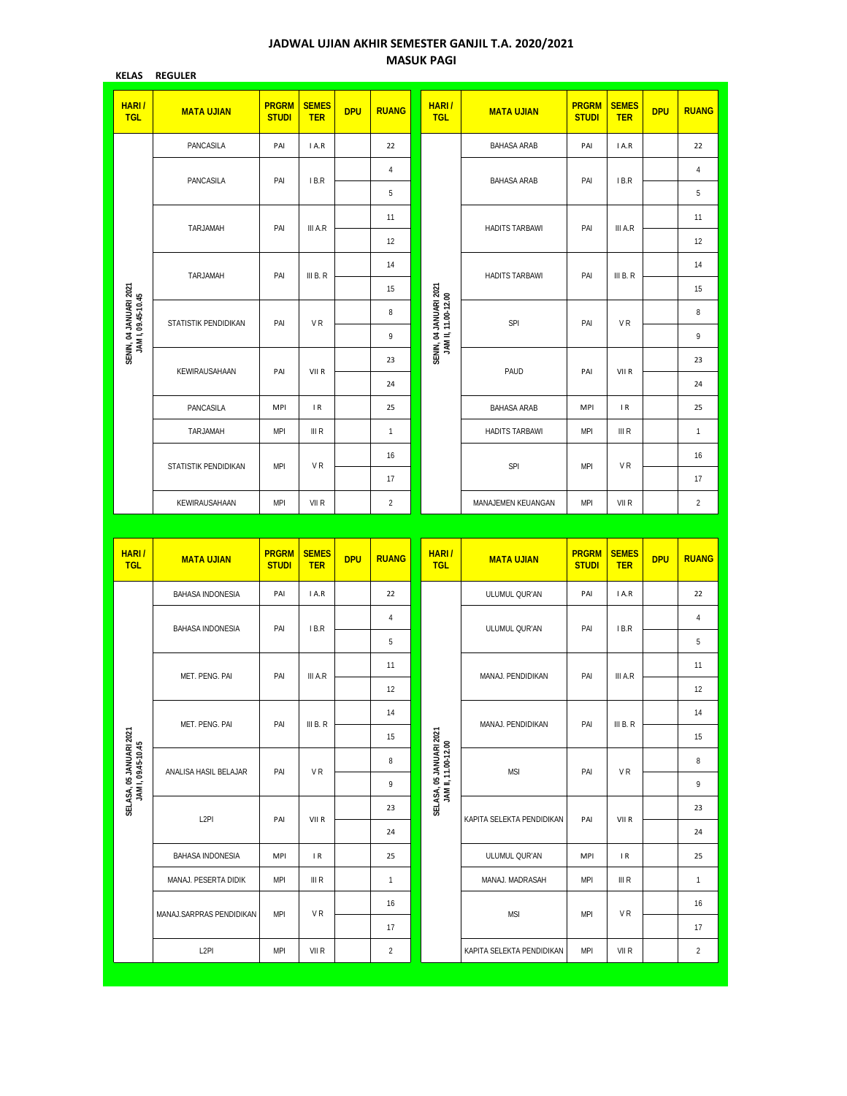## **JADWAL UJIAN AKHIR SEMESTER GANJIL T.A. 2020/2021 MASUK PAGI**

| <b>KELAS</b>                                  | <b>REGULER</b>           |                              |                                                          |            |                |                                                |                           |                              |                            |            |                |
|-----------------------------------------------|--------------------------|------------------------------|----------------------------------------------------------|------------|----------------|------------------------------------------------|---------------------------|------------------------------|----------------------------|------------|----------------|
| <b>HARI/</b><br><b>TGL</b>                    | <b>MATA UJIAN</b>        | <b>PRGRM</b><br><b>STUDI</b> | <b>SEMES</b><br><b>TER</b>                               | <b>DPU</b> | <b>RUANG</b>   | HARI/<br><b>TGL</b>                            | <b>MATA UJIAN</b>         | <b>PRGRM</b><br><b>STUDI</b> | <b>SEMES</b><br><b>TER</b> | <b>DPU</b> | <b>RUANG</b>   |
|                                               | PANCASILA                | PAI                          | I A.R                                                    |            | 22             |                                                | <b>BAHASA ARAB</b>        | PAI                          | I A.R                      |            | 22             |
|                                               | PANCASILA                | PAI                          | I B.R                                                    |            | 4              |                                                | <b>BAHASA ARAB</b>        | PAI                          | IB.R                       |            | 4              |
|                                               |                          |                              |                                                          |            | 5              |                                                |                           |                              |                            |            | 5              |
|                                               | TARJAMAH                 | PAI                          | III A.R                                                  |            | 11             |                                                | <b>HADITS TARBAWI</b>     | PAI                          | III A.R                    |            | 11             |
|                                               |                          |                              |                                                          |            | 12             |                                                |                           |                              |                            |            | 12             |
|                                               | TARJAMAH                 | PAI                          | III B. R                                                 |            | 14             |                                                | <b>HADITS TARBAWI</b>     | PAI                          | III B. R                   |            | 14             |
|                                               |                          |                              |                                                          |            | 15             |                                                |                           |                              |                            |            | 15             |
| SENIN, 04 JANUARI 2021<br>JAM I, 09.45-10.45  | STATISTIK PENDIDIKAN     |                              | PAI<br>VR<br>PAI<br>VII R<br><b>MPI</b><br>$\mathsf{IR}$ |            | 8              | SENIN, 04 JANUARI 2021<br>JAM II, 11.00-12.00  | SPI                       | PAI                          | VR                         |            | 8              |
|                                               |                          |                              |                                                          |            | 9              |                                                |                           |                              |                            |            | 9              |
|                                               | KEWIRAUSAHAAN            |                              |                                                          |            | 23             |                                                | PAUD                      | PAI                          | VII R                      |            | 23             |
|                                               |                          |                              |                                                          |            | 24             |                                                |                           |                              |                            |            | 24             |
|                                               | PANCASILA                |                              |                                                          | 25         |                | <b>BAHASA ARAB</b>                             | <b>MPI</b>                | $\mathsf{IR}$                |                            | 25         |                |
|                                               | TARJAMAH                 | <b>MPI</b>                   | III R                                                    |            | 1              |                                                | <b>HADITS TARBAWI</b>     | <b>MPI</b>                   | III R                      |            | 1              |
|                                               | STATISTIK PENDIDIKAN     | <b>MPI</b>                   | VR                                                       |            | 16             |                                                | SPI                       | <b>MPI</b>                   | VR                         |            | 16             |
|                                               |                          |                              |                                                          |            | 17             |                                                |                           |                              |                            |            | 17             |
|                                               | KEWIRAUSAHAAN            | <b>MPI</b>                   | VII R                                                    |            | $\overline{2}$ |                                                | MANAJEMEN KEUANGAN        | <b>MPI</b>                   | VII R                      |            | $\overline{c}$ |
|                                               |                          |                              |                                                          |            |                |                                                |                           |                              |                            |            |                |
|                                               |                          |                              |                                                          |            |                |                                                |                           |                              |                            |            |                |
| HARI/<br><b>TGL</b>                           | <b>MATA UJIAN</b>        | <b>PRGRM</b><br><b>STUDI</b> | <b>SEMES</b><br><b>TER</b>                               | <b>DPU</b> | <b>RUANG</b>   | HARI/<br><b>TGL</b>                            | <b>MATA UJIAN</b>         | <b>PRGRM</b><br><b>STUDI</b> | <b>SEMES</b><br><b>TER</b> | <b>DPU</b> | <b>RUANG</b>   |
|                                               | <b>BAHASA INDONESIA</b>  | PAI                          | I A.R                                                    |            | 22             |                                                | ULUMUL QUR'AN             | PAI                          | I A.R                      |            | 22             |
|                                               |                          |                              |                                                          |            | 4              |                                                |                           |                              |                            |            | 4              |
|                                               | <b>BAHASA INDONESIA</b>  | PAI                          | I B.R                                                    |            | 5              |                                                | ULUMUL QUR'AN             | PAI                          | IB.R                       |            | 5              |
|                                               |                          |                              |                                                          |            | 11             |                                                |                           |                              |                            |            | 11             |
|                                               | MET. PENG. PAI           | PAI                          | III A.R                                                  |            | 12             |                                                | MANAJ. PENDIDIKAN         | PAI                          | III A.R                    |            | 12             |
|                                               |                          |                              |                                                          |            | 14             |                                                |                           |                              |                            |            | 14             |
|                                               | MET. PENG. PAI           | PAI                          | III B. R                                                 |            | 15             |                                                | MANAJ. PENDIDIKAN         | PAI                          | III B. $R$                 |            | 15             |
|                                               |                          |                              |                                                          |            | 8              |                                                |                           |                              |                            |            | 8              |
|                                               | ANALISA HASIL BELAJAR    | PAI                          | VR                                                       |            | 9              |                                                | <b>MSI</b>                | PAI                          | VR                         |            | 9              |
| SELASA, 05 JANUARI 2021<br>JAM I, 09.45-10.45 |                          |                              |                                                          |            | 23             | SELASA, 05 JANUARI 2021<br>JAM II, 11.00-12.00 |                           |                              |                            |            | 23             |
|                                               | L <sub>2</sub> PI        | PAI                          | VII R                                                    |            | 24             |                                                | KAPITA SELEKTA PENDIDIKAN | PAI                          | VII R                      |            | 24             |
|                                               | <b>BAHASA INDONESIA</b>  | MPI                          | IR                                                       |            | 25             |                                                | ULUMUL QUR'AN             | MPI                          | IR                         |            | 25             |
|                                               | MANAJ. PESERTA DIDIK     | MPI                          | III R                                                    |            | $\mathbf{1}$   |                                                | MANAJ. MADRASAH           | MPI                          | III R                      |            | 1              |
|                                               |                          |                              | VR                                                       |            | 16             |                                                |                           |                              | VR                         |            | 16             |
|                                               | MANAJ.SARPRAS PENDIDIKAN | <b>MPI</b>                   |                                                          |            | 17             |                                                | <b>MSI</b>                | <b>MPI</b>                   |                            |            | 17             |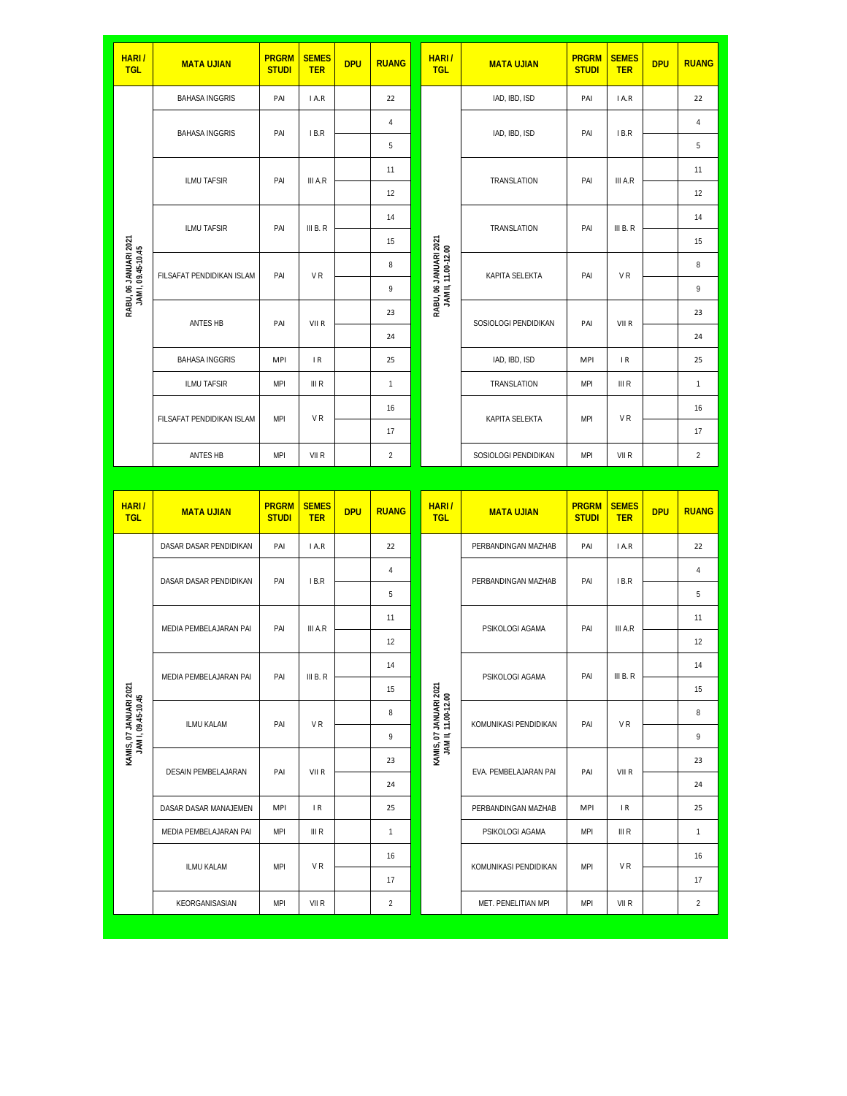| <b>HARI/</b><br><b>TGL</b>                   | <b>MATA UJIAN</b>         | <b>PRGRM</b><br><b>STUDI</b> | <b>SEMES</b><br><b>TER</b> | <b>DPU</b> | <b>RUANG</b>                                 | <b>HARI/</b><br><b>TGL</b>                    | <b>MATA UJIAN</b>     | <b>PRGRM</b><br><b>STUDI</b> | <b>SEMES</b><br><b>TER</b> | <b>DPU</b> | <b>RUANG</b>   |
|----------------------------------------------|---------------------------|------------------------------|----------------------------|------------|----------------------------------------------|-----------------------------------------------|-----------------------|------------------------------|----------------------------|------------|----------------|
|                                              | <b>BAHASA INGGRIS</b>     | PAI                          | I A.R                      |            | 22                                           |                                               | IAD, IBD, ISD         | PAI                          | I A.R                      |            | 22             |
|                                              | <b>BAHASA INGGRIS</b>     | PAI                          | IB.R                       |            | 4                                            |                                               | IAD, IBD, ISD         | PAI                          | IB.R                       |            | 4              |
|                                              |                           |                              |                            |            | 5                                            |                                               |                       |                              |                            |            | 5              |
|                                              | ILMU TAFSIR               | PAI                          | III A.R                    |            | 11                                           |                                               | TRANSLATION           | PAI                          | III A.R                    |            | 11             |
|                                              |                           |                              |                            |            | 12                                           |                                               |                       |                              |                            |            | 12             |
|                                              | <b>ILMU TAFSIR</b>        | PAI                          | III B. R                   |            | 14                                           |                                               | TRANSLATION           | PAI                          | III B. R                   |            | 14             |
|                                              |                           |                              |                            |            | 15                                           |                                               |                       |                              |                            |            | 15             |
| RABU, 06 JANUARI 2021<br>JAM I, 09.45-10.45  | FILSAFAT PENDIDIKAN ISLAM | PAI                          | VR                         | 8          | RABU, 06 JANUARI 2021<br>JAM II, 11.00-12.00 | KAPITA SELEKTA                                | PAI                   | VR                           |                            | 8          |                |
|                                              |                           |                              |                            |            | 9                                            |                                               |                       |                              |                            |            | 9              |
|                                              | ANTES HB                  | PAI                          | VII R                      |            | 23                                           |                                               | SOSIOLOGI PENDIDIKAN  | PAI                          | VII R                      |            | 23             |
|                                              |                           |                              |                            |            | 24                                           |                                               |                       |                              |                            |            | 24             |
|                                              | <b>BAHASA INGGRIS</b>     | <b>MPI</b>                   | $\mathsf{IR}$              |            | 25                                           |                                               | IAD, IBD, ISD         | <b>MPI</b>                   | IR.                        |            | 25             |
|                                              | ILMU TAFSIR               | <b>MPI</b>                   | III R                      |            | $\mathbf{1}$                                 |                                               | TRANSLATION           | <b>MPI</b>                   | III R                      |            | $\mathbf{1}$   |
|                                              | FILSAFAT PENDIDIKAN ISLAM | <b>MPI</b>                   | VR                         |            | 16                                           |                                               | KAPITA SELEKTA        | <b>MPI</b>                   | VR                         |            | 16             |
|                                              |                           |                              |                            |            | 17                                           |                                               |                       |                              |                            |            | 17             |
|                                              | ANTES HB                  | <b>MPI</b>                   | VII R                      |            | $\overline{2}$                               |                                               | SOSIOLOGI PENDIDIKAN  | <b>MPI</b>                   | VII R                      |            | $\overline{2}$ |
|                                              |                           |                              |                            |            |                                              |                                               |                       |                              |                            |            |                |
|                                              |                           |                              |                            |            |                                              |                                               |                       |                              |                            |            |                |
| <b>HARI/</b><br><b>TGL</b>                   | <b>MATA UJIAN</b>         | <b>PRGRM</b><br><b>STUDI</b> | <b>SEMES</b><br><b>TER</b> | <b>DPU</b> | <b>RUANG</b>                                 | <b>HARI/</b><br><b>TGL</b>                    | <b>MATA UJIAN</b>     | <b>PRGRM</b><br><b>STUDI</b> | <b>SEMES</b><br><b>TER</b> | <b>DPU</b> | <b>RUANG</b>   |
|                                              | DASAR DASAR PENDIDIKAN    | PAI                          | I A.R                      |            | 22                                           |                                               | PERBANDINGAN MAZHAB   | PAI                          | I A.R                      |            | 22             |
|                                              | DASAR DASAR PENDIDIKAN    | PAI                          | IB.R                       |            | 4                                            |                                               | PERBANDINGAN MAZHAB   | PAI                          | IB.R                       |            | 4              |
|                                              |                           |                              |                            |            | 5                                            |                                               |                       |                              |                            |            | 5              |
|                                              | MEDIA PEMBELAJARAN PAI    | PAI                          | III A.R                    |            | 11                                           |                                               | PSIKOLOGI AGAMA       | PAI                          | III A.R                    |            | 11             |
|                                              |                           |                              |                            |            | 12                                           |                                               |                       |                              |                            |            | 12             |
|                                              | MEDIA PEMBELAJARAN PAI    | PAI                          | III B. R                   |            | 14                                           |                                               | PSIKOLOGI AGAMA       | PAI                          | III B. R                   |            | 14             |
|                                              |                           |                              |                            |            | 15                                           |                                               |                       |                              |                            |            | 15             |
|                                              | <b>ILMU KALAM</b>         | PAI                          | VR                         |            | 8                                            |                                               | KOMUNIKASI PENDIDIKAN | PAI                          | VR                         |            | 8              |
|                                              |                           |                              |                            |            | 9                                            |                                               |                       |                              |                            |            | 9              |
| KAMIS, 07 JANUARI 2021<br>JAM I, 09.45-10.45 | DESAIN PEMBELAJARAN       | PAI                          | VII R                      |            | 23                                           | KAMIS, 07 JANUARI 2021<br>JAM II, 11.00-12.00 | EVA. PEMBELAJARAN PAI | PAI                          | VII R                      |            | 23             |
|                                              |                           |                              |                            |            | 24                                           |                                               |                       |                              |                            |            | 24             |
|                                              | DASAR DASAR MANAJEMEN     | MPI                          | $\mathsf{IR}$              |            | 25                                           |                                               | PERBANDINGAN MAZHAB   | <b>MPI</b>                   | IR                         |            | 25             |
|                                              | MEDIA PEMBELAJARAN PAI    | MPI                          | III R                      |            | $\mathbf{1}$                                 |                                               | PSIKOLOGI AGAMA       | <b>MPI</b>                   | III R                      |            | 1              |
|                                              | ILMU KALAM                | <b>MPI</b>                   | VR                         |            | 16                                           |                                               | KOMUNIKASI PENDIDIKAN | MPI                          | VR                         |            | 16             |
|                                              |                           |                              |                            |            | 17                                           |                                               |                       |                              |                            |            | 17             |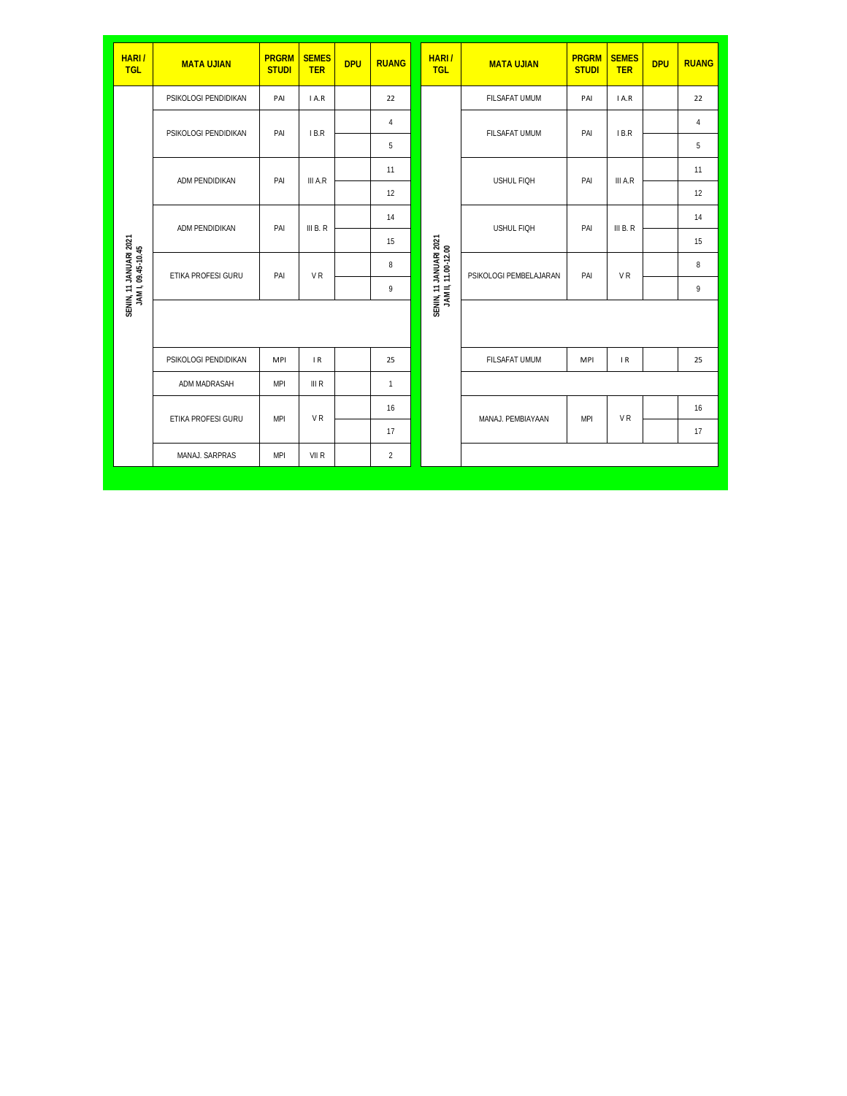| HARI/<br><b>TGL</b>                          | <b>MATA UJIAN</b>    | <b>PRGRM</b><br><b>STUDI</b> | <b>SEMES</b><br><b>TER</b> | <b>DPU</b> | <b>RUANG</b>                    |                                               | <b>HARI/</b><br><b>TGL</b> | <b>MATA UJIAN</b>      | <b>PRGRM</b><br><b>STUDI</b> | <b>SEMES</b><br><b>TER</b> | <b>DPU</b> | <b>RUANG</b> |
|----------------------------------------------|----------------------|------------------------------|----------------------------|------------|---------------------------------|-----------------------------------------------|----------------------------|------------------------|------------------------------|----------------------------|------------|--------------|
|                                              | PSIKOLOGI PENDIDIKAN | PAI                          | I A.R                      |            | 22                              |                                               |                            | FILSAFAT UMUM          | PAI                          | IA.R                       |            | 22           |
|                                              | PSIKOLOGI PENDIDIKAN | PAI                          | IB.R                       |            | $\overline{4}$<br>FILSAFAT UMUM | PAI                                           | IB.R                       |                        | $\overline{4}$               |                            |            |              |
|                                              |                      |                              |                            |            | 5                               |                                               |                            |                        |                              |                            |            | 5            |
|                                              | ADM PENDIDIKAN       | PAI                          | III A.R                    |            | 11                              |                                               |                            | USHUL FIQH             | PAI                          | III A.R                    |            | 11           |
|                                              |                      |                              |                            |            | 12                              |                                               |                            |                        |                              |                            |            | 12           |
|                                              | ADM PENDIDIKAN       | PAI                          | III B. R                   |            | 14                              |                                               |                            | USHUL FIQH             | PAI                          | III B. R                   |            | 14           |
|                                              |                      |                              |                            |            | 15                              |                                               |                            |                        |                              |                            |            | 15           |
| SENIN, 11 JANUARI 2021<br>JAM I, 09.45-10.45 | ETIKA PROFESI GURU   | PAI                          | V <sub>R</sub>             |            | 8                               |                                               |                            | PSIKOLOGI PEMBELAJARAN | PAI                          | <b>VR</b>                  |            | 8            |
|                                              |                      |                              |                            |            | 9                               | SENIN, 11 JANUARI 2021<br>JAM II, 11.00-12.00 |                            |                        |                              |                            |            | 9            |
|                                              |                      |                              |                            |            |                                 |                                               |                            |                        |                              |                            |            |              |
|                                              | PSIKOLOGI PENDIDIKAN | <b>MPI</b>                   | IR                         |            | 25                              |                                               |                            | FILSAFAT UMUM          | <b>MPI</b>                   | IR                         |            | 25           |
|                                              | ADM MADRASAH         | <b>MPI</b>                   | III R                      |            | $\mathbf{1}$                    |                                               |                            |                        |                              |                            |            |              |
|                                              | ETIKA PROFESI GURU   |                              |                            |            | 16                              |                                               |                            | MANAJ, PEMBIAYAAN      | <b>MPI</b>                   | V <sub>R</sub>             |            | 16           |
|                                              |                      |                              | <b>VR</b><br><b>MPI</b>    |            | 17                              |                                               |                            |                        |                              |                            |            | 17           |
|                                              | MANAJ. SARPRAS       | <b>MPI</b>                   | VII R                      |            | $\overline{2}$                  |                                               |                            |                        |                              |                            |            |              |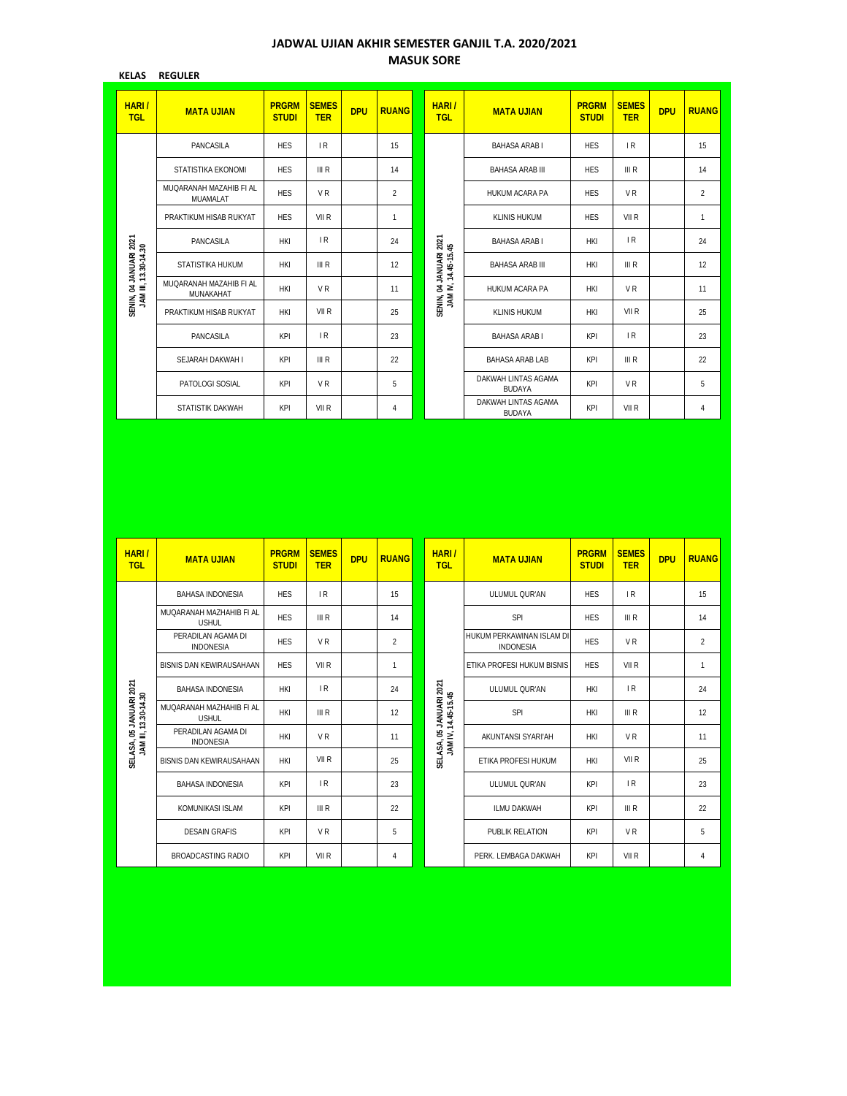## **JADWAL UJIAN AKHIR SEMESTER GANJIL T.A. 2020/2021 MASUK SORE**

| <b>KELAS</b>                                   | <b>REGULER</b>                       |                              |                            |            |                |  |                                               |                                      |                              |                            |            |                |
|------------------------------------------------|--------------------------------------|------------------------------|----------------------------|------------|----------------|--|-----------------------------------------------|--------------------------------------|------------------------------|----------------------------|------------|----------------|
| HARI/<br><b>TGL</b>                            | <b>MATA UJIAN</b>                    | <b>PRGRM</b><br><b>STUDI</b> | <b>SEMES</b><br><b>TER</b> | <b>DPU</b> | <b>RUANG</b>   |  | HARI/<br><b>TGL</b>                           | <b>MATA UJIAN</b>                    | <b>PRGRM</b><br><b>STUDI</b> | <b>SEMES</b><br><b>TER</b> | <b>DPU</b> | <b>RUANG</b>   |
|                                                | PANCASILA                            | <b>HES</b>                   | IR                         |            | 15             |  |                                               | <b>BAHASA ARABI</b>                  | <b>HFS</b>                   | IR                         |            | 15             |
|                                                | STATISTIKA EKONOMI                   | <b>HES</b>                   | III R                      |            | 14             |  |                                               | <b>BAHASA ARAB III</b>               | <b>HES</b>                   | III R                      |            | 14             |
|                                                | MUOARANAH MAZAHIB FI AI<br>MUAMALAT  | <b>HES</b>                   | V <sub>R</sub>             |            | $\overline{2}$ |  |                                               | <b>HUKUM ACARA PA</b>                | <b>HES</b>                   | V <sub>R</sub>             |            | $\overline{2}$ |
|                                                | PRAKTIKUM HISAB RUKYAT               | <b>HFS</b>                   | VII R                      |            | 1              |  |                                               | <b>KLINIS HUKUM</b>                  | <b>HES</b>                   | VII R                      |            | $\mathbf{1}$   |
|                                                | PANCASILA                            | <b>HKI</b>                   | IR                         |            | 24             |  |                                               | <b>BAHASA ARABI</b>                  | <b>HKI</b>                   | IR                         |            | 24             |
|                                                | STATISTIKA HUKUM                     | <b>HKI</b>                   | III R                      |            | 12             |  | SENIN, 04 JANUARI 2021<br>JAM IV, 14.45-15.45 | <b>BAHASA ARAB III</b>               | <b>HKI</b>                   | III R                      |            | 12             |
| SENIN, 04 JANUARI 2021<br>JAM III, 13.30-14.30 | MUOARANAH MAZAHIB FI AL<br>MUNAKAHAT | <b>HKI</b>                   | VR                         |            | 11             |  |                                               | <b>HUKUM ACARA PA</b>                | <b>HKI</b>                   | V <sub>R</sub>             |            | 11             |
|                                                | PRAKTIKUM HISAB RUKYAT               | <b>HKI</b>                   | VII R                      |            | 25             |  |                                               | <b>KLINIS HUKUM</b>                  | <b>HKI</b>                   | VII R                      |            | 25             |
|                                                | PANCASILA                            | KPI                          | IR                         |            | 23             |  |                                               | <b>BAHASA ARABI</b>                  | <b>KPI</b>                   | IR                         |            | 23             |
|                                                | SEJARAH DAKWAH I                     | <b>KPI</b>                   | III R                      |            | 22             |  |                                               | <b>BAHASA ARAB LAB</b>               | <b>KPI</b>                   | III R                      |            | 22             |
|                                                | PATOLOGI SOSIAL                      | <b>KPI</b>                   | V <sub>R</sub>             |            | 5              |  |                                               | DAKWAH LINTAS AGAMA<br><b>BUDAYA</b> | KPI                          | V <sub>R</sub>             |            | 5              |
|                                                | STATISTIK DAKWAH                     | KPI                          | VII R                      |            | 4              |  |                                               | DAKWAH LINTAS AGAMA<br><b>BUDAYA</b> | <b>KPI</b>                   | VII R                      |            | $\overline{4}$ |

|                                                 | PANCASILA                                | <b>HKI</b>                   | 1R                         |            | 24             |                                                | BAHASA ARAB I                                 | <b>HKI</b>                   | 1 R                                  |            | 24             |
|-------------------------------------------------|------------------------------------------|------------------------------|----------------------------|------------|----------------|------------------------------------------------|-----------------------------------------------|------------------------------|--------------------------------------|------------|----------------|
|                                                 | STATISTIKA HUKUM                         | <b>HKI</b>                   | III R                      |            | 12             |                                                | <b>BAHASA ARAB III</b>                        | <b>HKI</b>                   | III R                                |            | 12             |
| SENIN, 04 JANUARI 2021<br>JAM III, 13.30-14.30  | MUQARANAH MAZAHIB FI AL<br>MUNAKAHAT     | <b>HKI</b>                   | V <sub>R</sub>             |            | 11             | SENIN, 04 JANUARI 2021<br>JAM IV, 14.45-15.45  | HUKUM ACARA PA                                | <b>HKI</b>                   | VR                                   |            | 11             |
|                                                 | PRAKTIKUM HISAB RUKYAT                   | <b>HKI</b>                   | VII R                      |            | 25             |                                                | <b>KLINIS HUKUM</b>                           | <b>HKI</b>                   | VII R                                |            | 25             |
|                                                 | PANCASILA                                | KPI                          | IR                         |            | 23             |                                                | <b>BAHASA ARAB I</b>                          | KPI                          | IR                                   |            | 23             |
|                                                 | SEJARAH DAKWAH I                         | KPI                          | III R                      |            | 22             |                                                | <b>BAHASA ARAB LAB</b>                        | KPI                          | III R                                |            | 22             |
|                                                 | PATOLOGI SOSIAL                          | KPI                          | VR                         |            | 5              |                                                | DAKWAH LINTAS AGAMA<br><b>BUDAYA</b>          | KPI                          | VR                                   |            | 5              |
|                                                 | STATISTIK DAKWAH                         | KPI                          | VII R                      |            | 4              |                                                | DAKWAH LINTAS AGAMA<br>BUDAYA                 | KPI                          | VII R                                |            | 4              |
|                                                 |                                          |                              |                            |            |                |                                                |                                               |                              |                                      |            |                |
|                                                 |                                          |                              |                            |            |                |                                                |                                               |                              |                                      |            |                |
| HARI/<br><b>TGL</b>                             | <b>MATA UJIAN</b>                        | <b>PRGRM</b><br><b>STUDI</b> | <b>SEMES</b><br><b>TER</b> | <b>DPU</b> | <b>RUANG</b>   | HARI/<br><b>TGL</b>                            | <b>MATA UJIAN</b>                             | <b>PRGRM</b><br><b>STUDI</b> | <b>SEMES</b><br><b>TER</b>           | <b>DPU</b> | <b>RUANG</b>   |
|                                                 | <b>BAHASA INDONESIA</b>                  | <b>HES</b>                   | IR                         |            | 15             |                                                | ULUMUL QUR'AN                                 | <b>HES</b>                   | IR                                   |            | 15             |
|                                                 | MUQARANAH MAZHAHIB FI AL<br><b>USHUL</b> | <b>HES</b>                   | III R                      |            | 14             |                                                | SPI                                           | <b>HES</b>                   | $\ensuremath{\mathsf{III}}\xspace$ R |            | 14             |
|                                                 | PERADILAN AGAMA DI<br><b>INDONESIA</b>   | <b>HES</b>                   | VR                         |            | $\overline{2}$ |                                                | HUKUM PERKAWINAN ISLAM DI<br><b>INDONESIA</b> | <b>HES</b>                   | VR                                   |            | $\overline{2}$ |
|                                                 | BISNIS DAN KEWIRAUSAHAAN                 | <b>HES</b>                   | VII R                      |            | $\mathbf{1}$   |                                                | ETIKA PROFESI HUKUM BISNIS                    | <b>HES</b>                   | VII R                                |            | $\mathbf{1}$   |
|                                                 | <b>BAHASA INDONESIA</b>                  | <b>HKI</b>                   | IR                         |            | 24             |                                                | ULUMUL QUR'AN                                 | <b>HKI</b>                   | IR                                   |            | 24             |
|                                                 | MUQARANAH MAZHAHIB FI AL<br><b>USHUL</b> | <b>HKI</b>                   | III R                      |            | 12             |                                                | SPI                                           | <b>HKI</b>                   | III R                                |            | 12             |
|                                                 | PERADILAN AGAMA DI<br><b>INDONESIA</b>   | <b>HKI</b>                   | VR                         |            | 11             |                                                | AKUNTANSI SYARI'AH                            | <b>HKI</b>                   | VR                                   |            | 11             |
| SELASA, 05 JANUARI 2021<br>JAM III, 13.30-14.30 | BISNIS DAN KEWIRAUSAHAAN                 | <b>HKI</b>                   | VII R                      |            | 25             | SELASA, 05 JANUARI 2021<br>JAM IV, 14.45-15.45 | ETIKA PROFESI HUKUM                           | <b>HKI</b>                   | VII R                                |            | 25             |
|                                                 | <b>BAHASA INDONESIA</b>                  | KPI                          | IR                         |            | 23             |                                                | ULUMUL QUR'AN                                 | KPI                          | $\mathsf{IR}$                        |            | 23             |
|                                                 | KOMUNIKASI ISLAM                         | KPI                          | III R                      |            | 22             |                                                | ILMU DAKWAH                                   | KPI                          | III R                                |            | 22             |
|                                                 | <b>DESAIN GRAFIS</b>                     | KPI                          | VR                         |            | 5              |                                                | PUBLIK RELATION                               | KPI                          | V <sub>R</sub>                       |            | 5              |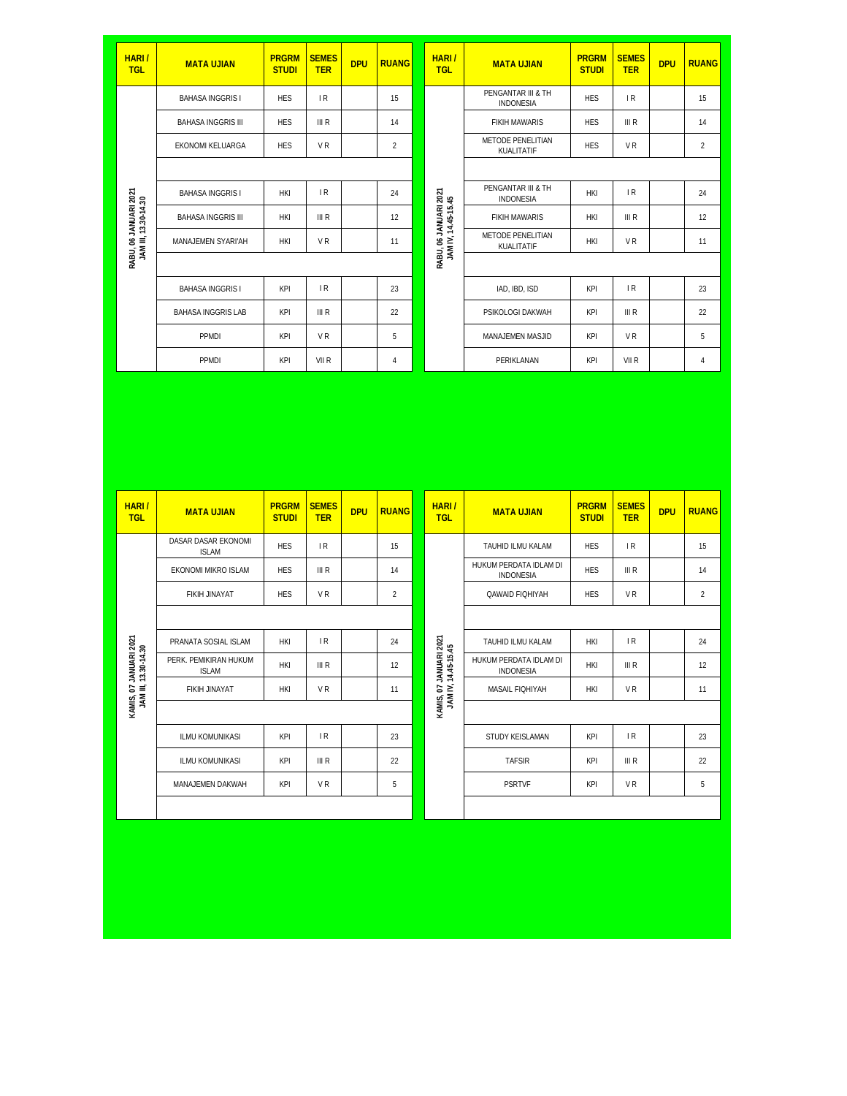| HARI/<br><b>TGL</b>                           | <b>MATA UJIAN</b>         | <b>PRGRM</b><br><b>STUDI</b> | <b>SEMES</b><br><b>TER</b> | <b>DPU</b> | <b>RUANG</b>   |  | HARI/<br><b>TGL</b>                          | <b>MATA UJIAN</b>                      | <b>PRGRM</b><br><b>STUDI</b> | <b>SEMES</b><br><b>TER</b> | <b>DPU</b> | <b>RUANG</b>   |
|-----------------------------------------------|---------------------------|------------------------------|----------------------------|------------|----------------|--|----------------------------------------------|----------------------------------------|------------------------------|----------------------------|------------|----------------|
|                                               | <b>BAHASA INGGRIS I</b>   | <b>HES</b>                   | IR                         |            | 15             |  |                                              | PENGANTAR III & TH<br><b>INDONESIA</b> | <b>HES</b>                   | IR                         |            | 15             |
|                                               | <b>BAHASA INGGRIS III</b> | <b>HES</b>                   | III R                      |            | 14             |  |                                              | <b>FIKIH MAWARIS</b>                   | <b>HES</b>                   | III R                      |            | 14             |
|                                               | EKONOMI KELUARGA          | <b>HES</b>                   | <b>VR</b>                  |            | $\overline{2}$ |  |                                              | METODE PENELITIAN<br>KUALITATIF        | <b>HES</b>                   | <b>VR</b>                  |            | $\overline{2}$ |
|                                               |                           |                              |                            |            |                |  |                                              |                                        |                              |                            |            |                |
|                                               | <b>BAHASA INGGRIS I</b>   | <b>HKI</b>                   | IR                         |            | 24             |  |                                              | PENGANTAR III & TH<br><b>INDONESIA</b> | <b>HKI</b>                   | IR                         |            | 24             |
|                                               | <b>BAHASA INGGRIS III</b> | <b>HKI</b>                   | III R                      |            | 12             |  | RABU, 06 JANUARI 2021<br>JAM IV, 14.45-15.45 | <b>FIKIH MAWARIS</b>                   | <b>HKI</b>                   | III R                      |            | 12             |
| RABU, 06 JANUARI 2021<br>JAM III, 13.30-14.30 | MANAJEMEN SYARI'AH        | <b>HKI</b>                   | <b>VR</b>                  |            | 11             |  |                                              | METODE PENELITIAN<br>KUALITATIF        | <b>HKI</b>                   | <b>VR</b>                  |            | 11             |
|                                               |                           |                              |                            |            |                |  |                                              |                                        |                              |                            |            |                |
|                                               | <b>BAHASA INGGRIS I</b>   | KPI                          | IR                         |            | 23             |  |                                              | IAD, IBD, ISD                          | KPI                          | IR                         |            | 23             |
|                                               | <b>BAHASA INGGRIS LAB</b> | KPI                          | III R                      |            | 22             |  |                                              | PSIKOLOGI DAKWAH                       | KPI                          | III R                      |            | 22             |
|                                               | PPMDI                     | KPI                          | V <sub>R</sub>             |            | 5              |  |                                              | MANAJEMEN MASJID                       | KPI                          | V <sub>R</sub>             |            | 5              |
|                                               | PPMDI                     | KPI                          | VII R                      |            | 4              |  |                                              | PERIKLANAN                             | KPI                          | VII R                      |            | $\overline{4}$ |

| HARI/<br><b>TGL</b>                            | <b>MATA UJIAN</b>                     | <b>PRGRM</b><br><b>STUDI</b> | <b>SEMES</b><br><b>TER</b> | <b>DPU</b> | <b>RUANG</b>   |  | HARI/<br><b>TGL</b>                           | <b>MATA UJIAN</b>                          | <b>PRGRM</b><br><b>STUDI</b> | <b>SEMES</b><br><b>TER</b> | <b>DPU</b> | <b>RUANG</b>   |
|------------------------------------------------|---------------------------------------|------------------------------|----------------------------|------------|----------------|--|-----------------------------------------------|--------------------------------------------|------------------------------|----------------------------|------------|----------------|
|                                                | DASAR DASAR EKONOMI<br><b>ISLAM</b>   | <b>HES</b>                   | IR                         |            | 15             |  |                                               | TAUHID ILMU KALAM                          | <b>HFS</b>                   | IR                         |            | 15             |
|                                                | EKONOMI MIKRO ISLAM                   | <b>HES</b>                   | III R                      |            | 14             |  |                                               | HUKUM PERDATA IDLAM DI<br><b>INDONESIA</b> | <b>HES</b>                   | III R                      |            | 14             |
|                                                | <b>FIKIH JINAYAT</b>                  | <b>HES</b>                   | V <sub>R</sub>             |            | $\overline{2}$ |  |                                               | <b>QAWAID FIQHIYAH</b>                     | <b>HES</b>                   | V <sub>R</sub>             |            | $\overline{2}$ |
|                                                |                                       |                              |                            |            |                |  |                                               |                                            |                              |                            |            |                |
|                                                | PRANATA SOSIAL ISLAM                  | <b>HKI</b>                   | IR                         |            | 24             |  |                                               | TAUHID ILMU KALAM                          | <b>HKI</b>                   | IR                         |            | 24             |
| KAMIS, 07 JANUARI 2021<br>JAM III, 13.30-14.30 | PERK. PEMIKIRAN HUKUM<br><b>ISLAM</b> | <b>HKI</b>                   | III R                      |            | 12             |  | KAMIS, 07 JANUARI 2021<br>JAM IV, 14.45-15.45 | HUKUM PERDATA IDLAM DI<br><b>INDONESIA</b> | <b>HKI</b>                   | III R                      |            | 12             |
|                                                | FIKIH JINAYAT                         | <b>HKI</b>                   | VR                         |            | 11             |  |                                               | <b>MASAIL FIOHIYAH</b>                     | <b>HKI</b>                   | V <sub>R</sub>             |            | 11             |
|                                                |                                       |                              |                            |            |                |  |                                               |                                            |                              |                            |            |                |
|                                                | <b>ILMU KOMUNIKASI</b>                | KPI                          | IR                         |            | 23             |  |                                               | STUDY KEISLAMAN                            | KPI                          | IR                         |            | 23             |
|                                                | <b>ILMU KOMUNIKASI</b>                | KPI                          | III R                      |            | 22             |  |                                               | <b>TAFSIR</b>                              | KPI                          | III R                      |            | 22             |
|                                                | MANAJEMEN DAKWAH                      | KPI                          | <b>VR</b>                  |            | 5              |  |                                               | <b>PSRTVF</b>                              | KPI                          | <b>VR</b>                  |            | 5              |
|                                                |                                       |                              |                            |            |                |  |                                               |                                            |                              |                            |            |                |